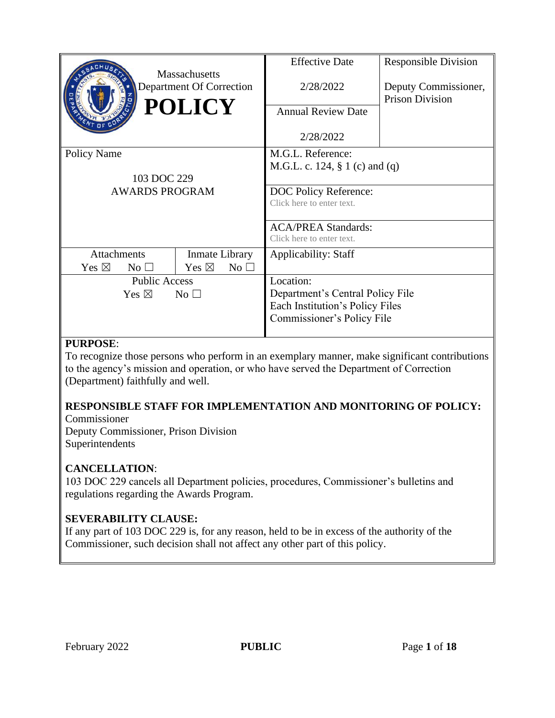|                                    |                       | <b>Massachusetts</b>     |                 | <b>Effective Date</b>             | <b>Responsible Division</b>                    |  |
|------------------------------------|-----------------------|--------------------------|-----------------|-----------------------------------|------------------------------------------------|--|
|                                    |                       | Department Of Correction |                 | 2/28/2022                         | Deputy Commissioner,<br><b>Prison Division</b> |  |
|                                    |                       | <b>POLICY</b>            |                 | <b>Annual Review Date</b>         |                                                |  |
|                                    |                       |                          |                 | 2/28/2022                         |                                                |  |
| Policy Name                        |                       |                          |                 | M.G.L. Reference:                 |                                                |  |
|                                    |                       |                          |                 | M.G.L. c. 124, $\S 1$ (c) and (q) |                                                |  |
|                                    | 103 DOC 229           |                          |                 |                                   |                                                |  |
|                                    | <b>AWARDS PROGRAM</b> |                          |                 | DOC Policy Reference:             |                                                |  |
|                                    |                       |                          |                 | Click here to enter text.         |                                                |  |
|                                    |                       |                          |                 | <b>ACA/PREA Standards:</b>        |                                                |  |
|                                    |                       |                          |                 | Click here to enter text.         |                                                |  |
| <b>Attachments</b>                 |                       | Inmate Library           |                 | <b>Applicability: Staff</b>       |                                                |  |
| Yes $\boxtimes$                    | No <sub>1</sub>       | Yes $\boxtimes$          | No <sub>1</sub> |                                   |                                                |  |
| <b>Public Access</b>               |                       | Location:                |                 |                                   |                                                |  |
| Yes $\boxtimes$<br>No <sub>1</sub> |                       |                          |                 | Department's Central Policy File  |                                                |  |
|                                    |                       |                          |                 | Each Institution's Policy Files   |                                                |  |
|                                    |                       |                          |                 | Commissioner's Policy File        |                                                |  |
|                                    |                       |                          |                 |                                   |                                                |  |

## **PURPOSE**:

To recognize those persons who perform in an exemplary manner, make significant contributions to the agency's mission and operation, or who have served the Department of Correction (Department) faithfully and well.

#### **RESPONSIBLE STAFF FOR IMPLEMENTATION AND MONITORING OF POLICY:** Commissioner

Deputy Commissioner, Prison Division Superintendents

## **CANCELLATION**:

103 DOC 229 cancels all Department policies, procedures, Commissioner's bulletins and regulations regarding the Awards Program.

# **SEVERABILITY CLAUSE:**

If any part of 103 DOC 229 is, for any reason, held to be in excess of the authority of the Commissioner, such decision shall not affect any other part of this policy.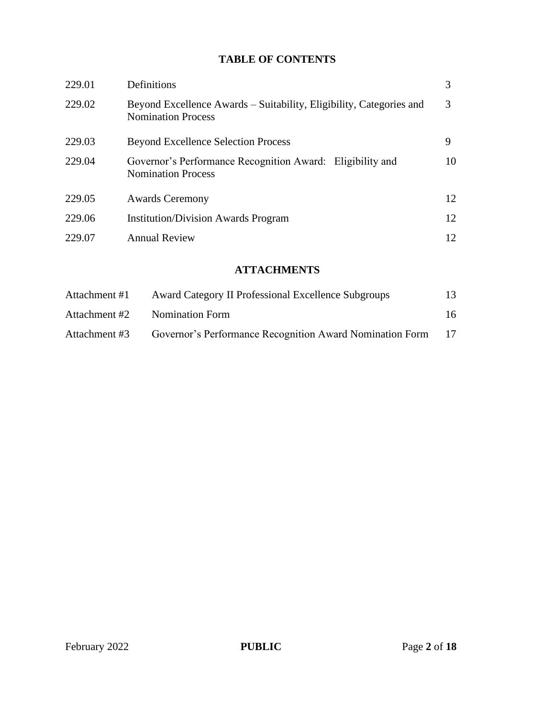## **TABLE OF CONTENTS**

| 229.01 | Definitions                                                                                      | 3  |
|--------|--------------------------------------------------------------------------------------------------|----|
| 229.02 | Beyond Excellence Awards – Suitability, Eligibility, Categories and<br><b>Nomination Process</b> | 3  |
| 229.03 | <b>Beyond Excellence Selection Process</b>                                                       | 9  |
| 229.04 | Governor's Performance Recognition Award: Eligibility and<br><b>Nomination Process</b>           | 10 |
| 229.05 | <b>Awards Ceremony</b>                                                                           | 12 |
| 229.06 | <b>Institution/Division Awards Program</b>                                                       | 12 |
| 229.07 | <b>Annual Review</b>                                                                             | 12 |

## **ATTACHMENTS**

| Attachment #1 | <b>Award Category II Professional Excellence Subgroups</b> | 13 |
|---------------|------------------------------------------------------------|----|
| Attachment #2 | Nomination Form                                            | 16 |
| Attachment #3 | Governor's Performance Recognition Award Nomination Form   |    |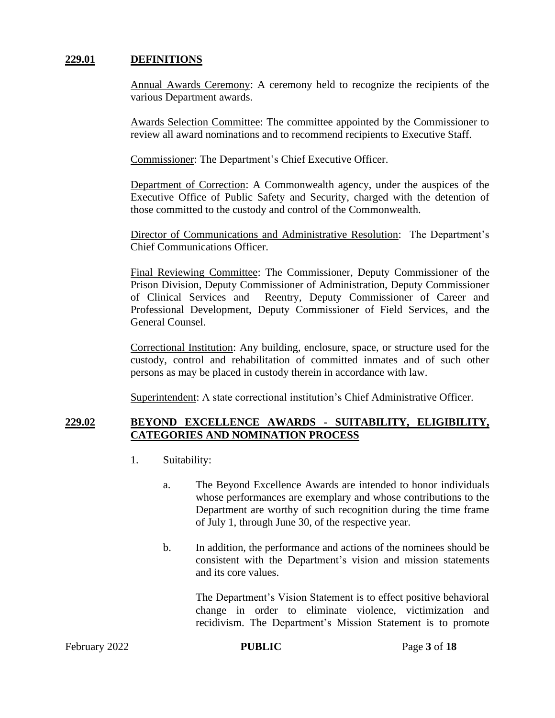### **229.01 DEFINITIONS**

Annual Awards Ceremony: A ceremony held to recognize the recipients of the various Department awards.

Awards Selection Committee: The committee appointed by the Commissioner to review all award nominations and to recommend recipients to Executive Staff.

Commissioner: The Department's Chief Executive Officer.

Department of Correction: A Commonwealth agency, under the auspices of the Executive Office of Public Safety and Security, charged with the detention of those committed to the custody and control of the Commonwealth.

Director of Communications and Administrative Resolution: The Department's Chief Communications Officer.

Final Reviewing Committee: The Commissioner, Deputy Commissioner of the Prison Division, Deputy Commissioner of Administration, Deputy Commissioner of Clinical Services and Reentry, Deputy Commissioner of Career and Professional Development, Deputy Commissioner of Field Services, and the General Counsel.

Correctional Institution: Any building, enclosure, space, or structure used for the custody, control and rehabilitation of committed inmates and of such other persons as may be placed in custody therein in accordance with law.

Superintendent: A state correctional institution's Chief Administrative Officer.

#### **229.02 BEYOND EXCELLENCE AWARDS - SUITABILITY, ELIGIBILITY, CATEGORIES AND NOMINATION PROCESS**

- 1. Suitability:
	- a. The Beyond Excellence Awards are intended to honor individuals whose performances are exemplary and whose contributions to the Department are worthy of such recognition during the time frame of July 1, through June 30, of the respective year.
	- b. In addition, the performance and actions of the nominees should be consistent with the Department's vision and mission statements and its core values.

The Department's Vision Statement is to effect positive behavioral change in order to eliminate violence, victimization and recidivism. The Department's Mission Statement is to promote

February 2022 **PUBLIC** Page 3 of 18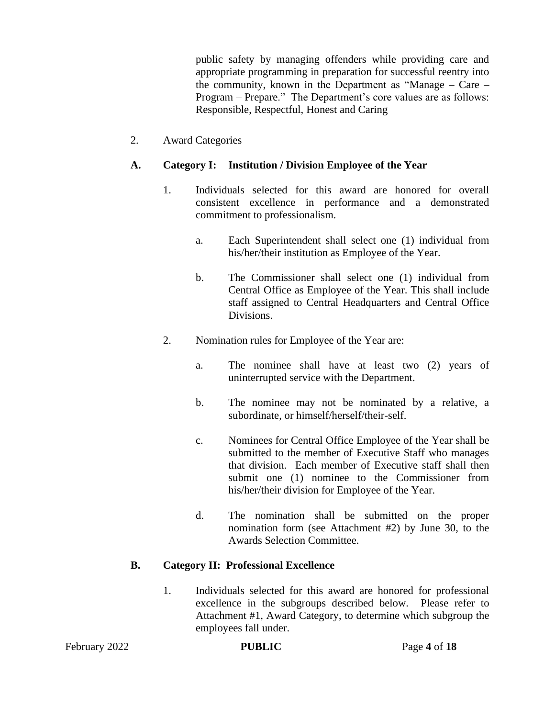public safety by managing offenders while providing care and appropriate programming in preparation for successful reentry into the community, known in the Department as "Manage – Care – Program – Prepare." The Department's core values are as follows: Responsible, Respectful, Honest and Caring

2. Award Categories

### **A. Category I: Institution / Division Employee of the Year**

- 1. Individuals selected for this award are honored for overall consistent excellence in performance and a demonstrated commitment to professionalism.
	- a. Each Superintendent shall select one (1) individual from his/her/their institution as Employee of the Year.
	- b. The Commissioner shall select one (1) individual from Central Office as Employee of the Year. This shall include staff assigned to Central Headquarters and Central Office Divisions.
- 2. Nomination rules for Employee of the Year are:
	- a. The nominee shall have at least two (2) years of uninterrupted service with the Department.
	- b. The nominee may not be nominated by a relative, a subordinate, or himself/herself/their-self.
	- c. Nominees for Central Office Employee of the Year shall be submitted to the member of Executive Staff who manages that division. Each member of Executive staff shall then submit one (1) nominee to the Commissioner from his/her/their division for Employee of the Year.
	- d. The nomination shall be submitted on the proper nomination form (see Attachment #2) by June 30, to the Awards Selection Committee.

#### **B. Category II: Professional Excellence**

1. Individuals selected for this award are honored for professional excellence in the subgroups described below. Please refer to Attachment #1, Award Category, to determine which subgroup the employees fall under.

February 2022 **PUBLIC** Page 4 of 18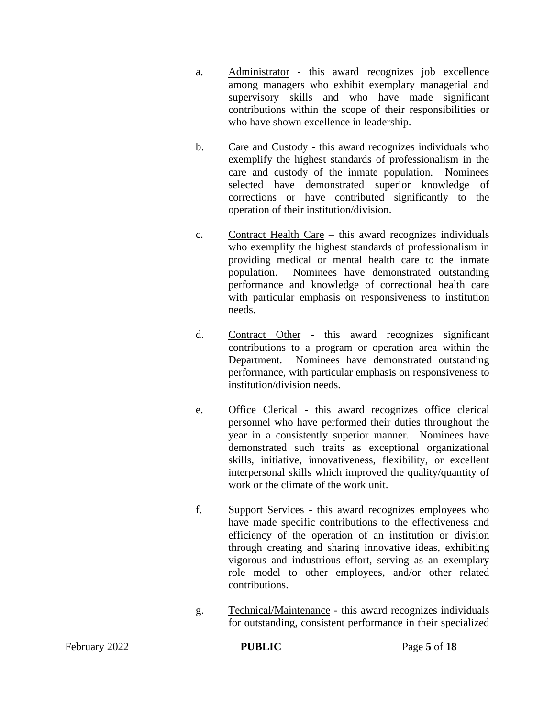- a. Administrator this award recognizes job excellence among managers who exhibit exemplary managerial and supervisory skills and who have made significant contributions within the scope of their responsibilities or who have shown excellence in leadership.
- b. Care and Custody this award recognizes individuals who exemplify the highest standards of professionalism in the care and custody of the inmate population. Nominees selected have demonstrated superior knowledge of corrections or have contributed significantly to the operation of their institution/division.
- c. Contract Health Care this award recognizes individuals who exemplify the highest standards of professionalism in providing medical or mental health care to the inmate population. Nominees have demonstrated outstanding performance and knowledge of correctional health care with particular emphasis on responsiveness to institution needs.
- d. Contract Other this award recognizes significant contributions to a program or operation area within the Department. Nominees have demonstrated outstanding performance, with particular emphasis on responsiveness to institution/division needs.
- e. Office Clerical this award recognizes office clerical personnel who have performed their duties throughout the year in a consistently superior manner. Nominees have demonstrated such traits as exceptional organizational skills, initiative, innovativeness, flexibility, or excellent interpersonal skills which improved the quality/quantity of work or the climate of the work unit.
- f. Support Services this award recognizes employees who have made specific contributions to the effectiveness and efficiency of the operation of an institution or division through creating and sharing innovative ideas, exhibiting vigorous and industrious effort, serving as an exemplary role model to other employees, and/or other related contributions.
- g. Technical/Maintenance this award recognizes individuals for outstanding, consistent performance in their specialized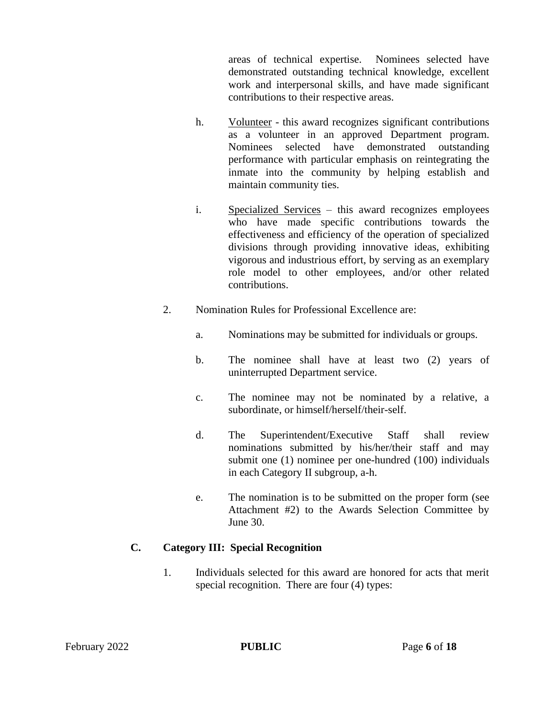areas of technical expertise. Nominees selected have demonstrated outstanding technical knowledge, excellent work and interpersonal skills, and have made significant contributions to their respective areas.

- h. Volunteer this award recognizes significant contributions as a volunteer in an approved Department program. Nominees selected have demonstrated outstanding performance with particular emphasis on reintegrating the inmate into the community by helping establish and maintain community ties.
- i. Specialized Services this award recognizes employees who have made specific contributions towards the effectiveness and efficiency of the operation of specialized divisions through providing innovative ideas, exhibiting vigorous and industrious effort, by serving as an exemplary role model to other employees, and/or other related contributions.
- 2. Nomination Rules for Professional Excellence are:
	- a. Nominations may be submitted for individuals or groups.
	- b. The nominee shall have at least two (2) years of uninterrupted Department service.
	- c. The nominee may not be nominated by a relative, a subordinate, or himself/herself/their-self.
	- d. The Superintendent/Executive Staff shall review nominations submitted by his/her/their staff and may submit one (1) nominee per one-hundred (100) individuals in each Category II subgroup, a-h.
	- e. The nomination is to be submitted on the proper form (see Attachment #2) to the Awards Selection Committee by June 30.

## **C. Category III: Special Recognition**

1. Individuals selected for this award are honored for acts that merit special recognition. There are four (4) types: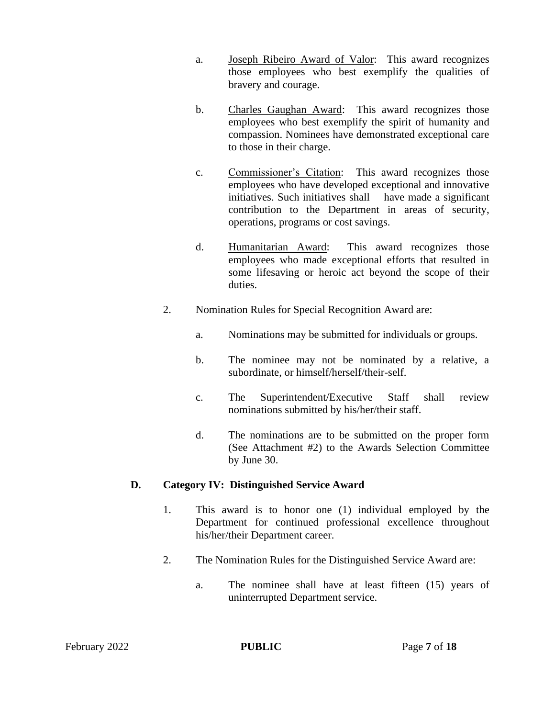- a. Joseph Ribeiro Award of Valor: This award recognizes those employees who best exemplify the qualities of bravery and courage.
- b. Charles Gaughan Award: This award recognizes those employees who best exemplify the spirit of humanity and compassion. Nominees have demonstrated exceptional care to those in their charge.
- c. Commissioner's Citation: This award recognizes those employees who have developed exceptional and innovative initiatives. Such initiatives shall have made a significant contribution to the Department in areas of security, operations, programs or cost savings.
- d. Humanitarian Award: This award recognizes those employees who made exceptional efforts that resulted in some lifesaving or heroic act beyond the scope of their duties.
- 2. Nomination Rules for Special Recognition Award are:
	- a. Nominations may be submitted for individuals or groups.
	- b. The nominee may not be nominated by a relative, a subordinate, or himself/herself/their-self.
	- c. The Superintendent/Executive Staff shall review nominations submitted by his/her/their staff.
	- d. The nominations are to be submitted on the proper form (See Attachment #2) to the Awards Selection Committee by June 30.

#### **D. Category IV: Distinguished Service Award**

- 1. This award is to honor one (1) individual employed by the Department for continued professional excellence throughout his/her/their Department career.
- 2. The Nomination Rules for the Distinguished Service Award are:
	- a. The nominee shall have at least fifteen (15) years of uninterrupted Department service.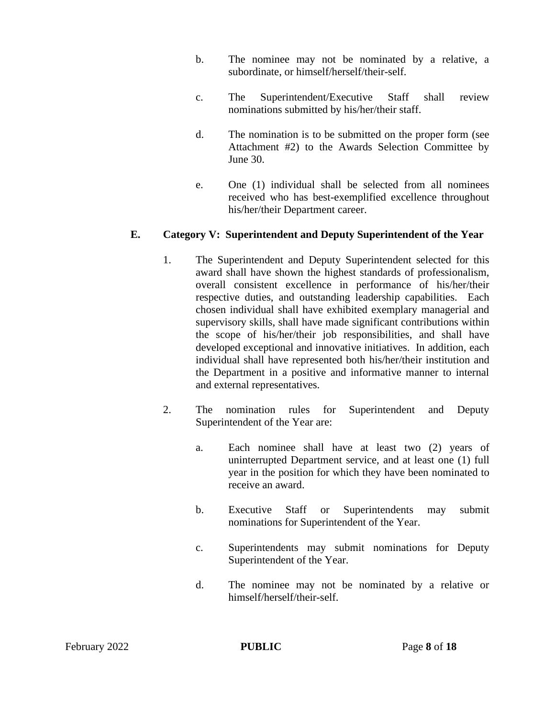- b. The nominee may not be nominated by a relative, a subordinate, or himself/herself/their-self.
- c. The Superintendent/Executive Staff shall review nominations submitted by his/her/their staff.
- d. The nomination is to be submitted on the proper form (see Attachment #2) to the Awards Selection Committee by June 30.
- e. One (1) individual shall be selected from all nominees received who has best-exemplified excellence throughout his/her/their Department career.

## **E. Category V: Superintendent and Deputy Superintendent of the Year**

- 1. The Superintendent and Deputy Superintendent selected for this award shall have shown the highest standards of professionalism, overall consistent excellence in performance of his/her/their respective duties, and outstanding leadership capabilities. Each chosen individual shall have exhibited exemplary managerial and supervisory skills, shall have made significant contributions within the scope of his/her/their job responsibilities, and shall have developed exceptional and innovative initiatives. In addition, each individual shall have represented both his/her/their institution and the Department in a positive and informative manner to internal and external representatives.
- 2. The nomination rules for Superintendent and Deputy Superintendent of the Year are:
	- a. Each nominee shall have at least two (2) years of uninterrupted Department service, and at least one (1) full year in the position for which they have been nominated to receive an award.
	- b. Executive Staff or Superintendents may submit nominations for Superintendent of the Year.
	- c. Superintendents may submit nominations for Deputy Superintendent of the Year.
	- d. The nominee may not be nominated by a relative or himself/herself/their-self.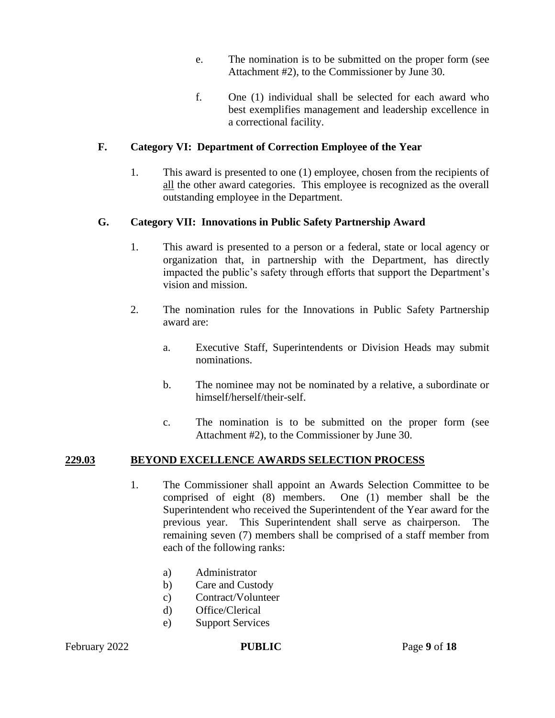- e. The nomination is to be submitted on the proper form (see Attachment #2), to the Commissioner by June 30.
- f. One (1) individual shall be selected for each award who best exemplifies management and leadership excellence in a correctional facility.

## **F. Category VI: Department of Correction Employee of the Year**

1. This award is presented to one (1) employee, chosen from the recipients of all the other award categories. This employee is recognized as the overall outstanding employee in the Department.

## **G. Category VII: Innovations in Public Safety Partnership Award**

- 1. This award is presented to a person or a federal, state or local agency or organization that, in partnership with the Department, has directly impacted the public's safety through efforts that support the Department's vision and mission.
- 2. The nomination rules for the Innovations in Public Safety Partnership award are:
	- a. Executive Staff, Superintendents or Division Heads may submit nominations.
	- b. The nominee may not be nominated by a relative, a subordinate or himself/herself/their-self.
	- c. The nomination is to be submitted on the proper form (see Attachment #2), to the Commissioner by June 30.

#### **229.03 BEYOND EXCELLENCE AWARDS SELECTION PROCESS**

- 1. The Commissioner shall appoint an Awards Selection Committee to be comprised of eight (8) members. One (1) member shall be the Superintendent who received the Superintendent of the Year award for the previous year. This Superintendent shall serve as chairperson. The remaining seven (7) members shall be comprised of a staff member from each of the following ranks:
	- a) Administrator
	- b) Care and Custody
	- c) Contract/Volunteer
	- d) Office/Clerical
	- e) Support Services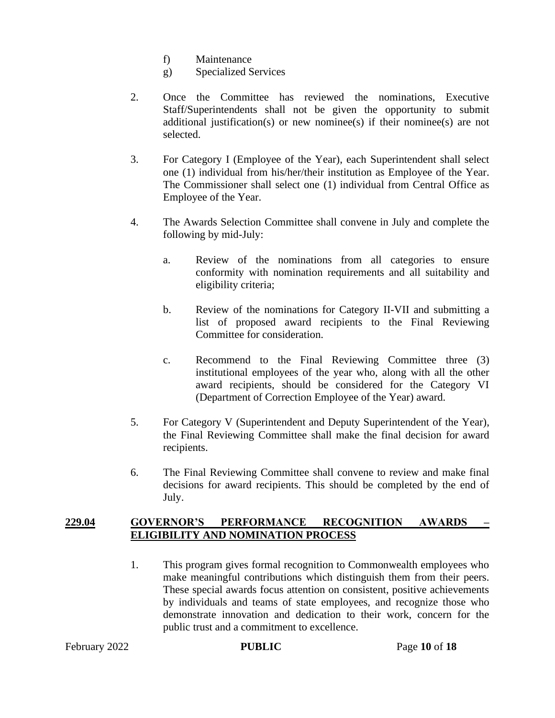- f) Maintenance
- g) Specialized Services
- 2. Once the Committee has reviewed the nominations, Executive Staff/Superintendents shall not be given the opportunity to submit additional justification(s) or new nominee(s) if their nominee(s) are not selected.
- 3. For Category I (Employee of the Year), each Superintendent shall select one (1) individual from his/her/their institution as Employee of the Year. The Commissioner shall select one (1) individual from Central Office as Employee of the Year.
- 4. The Awards Selection Committee shall convene in July and complete the following by mid-July:
	- a. Review of the nominations from all categories to ensure conformity with nomination requirements and all suitability and eligibility criteria;
	- b. Review of the nominations for Category II-VII and submitting a list of proposed award recipients to the Final Reviewing Committee for consideration.
	- c. Recommend to the Final Reviewing Committee three (3) institutional employees of the year who, along with all the other award recipients, should be considered for the Category VI (Department of Correction Employee of the Year) award.
- 5. For Category V (Superintendent and Deputy Superintendent of the Year), the Final Reviewing Committee shall make the final decision for award recipients.
- 6. The Final Reviewing Committee shall convene to review and make final decisions for award recipients. This should be completed by the end of July.

#### **229.04 GOVERNOR'S PERFORMANCE RECOGNITION AWARDS – ELIGIBILITY AND NOMINATION PROCESS**

1. This program gives formal recognition to Commonwealth employees who make meaningful contributions which distinguish them from their peers. These special awards focus attention on consistent, positive achievements by individuals and teams of state employees, and recognize those who demonstrate innovation and dedication to their work, concern for the public trust and a commitment to excellence.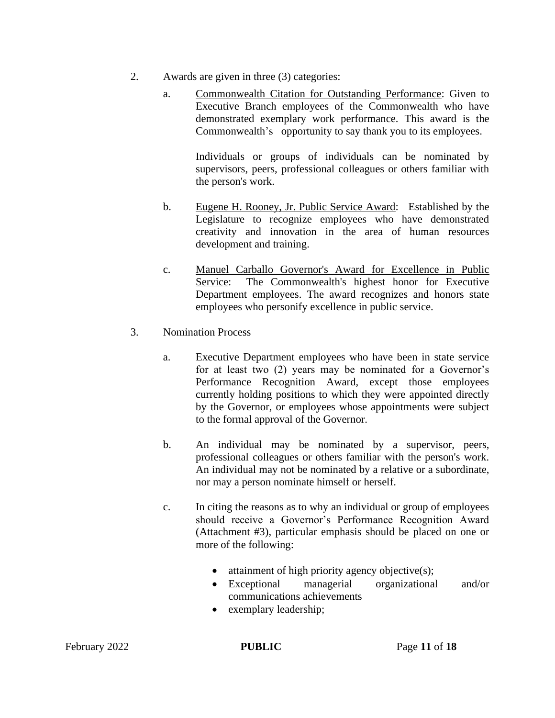- 2. Awards are given in three (3) categories:
	- a. Commonwealth Citation for Outstanding Performance: Given to Executive Branch employees of the Commonwealth who have demonstrated exemplary work performance. This award is the Commonwealth's opportunity to say thank you to its employees.

Individuals or groups of individuals can be nominated by supervisors, peers, professional colleagues or others familiar with the person's work.

- b. Eugene H. Rooney, Jr. Public Service Award: Established by the Legislature to recognize employees who have demonstrated creativity and innovation in the area of human resources development and training.
- c. Manuel Carballo Governor's Award for Excellence in Public Service: The Commonwealth's highest honor for Executive Department employees. The award recognizes and honors state employees who personify excellence in public service.
- 3. Nomination Process
	- a. Executive Department employees who have been in state service for at least two (2) years may be nominated for a Governor's Performance Recognition Award, except those employees currently holding positions to which they were appointed directly by the Governor, or employees whose appointments were subject to the formal approval of the Governor.
	- b. An individual may be nominated by a supervisor, peers, professional colleagues or others familiar with the person's work. An individual may not be nominated by a relative or a subordinate, nor may a person nominate himself or herself.
	- c. In citing the reasons as to why an individual or group of employees should receive a Governor's Performance Recognition Award (Attachment #3), particular emphasis should be placed on one or more of the following:
		- $\bullet$  attainment of high priority agency objective(s);
		- Exceptional managerial organizational and/or communications achievements
		- exemplary leadership;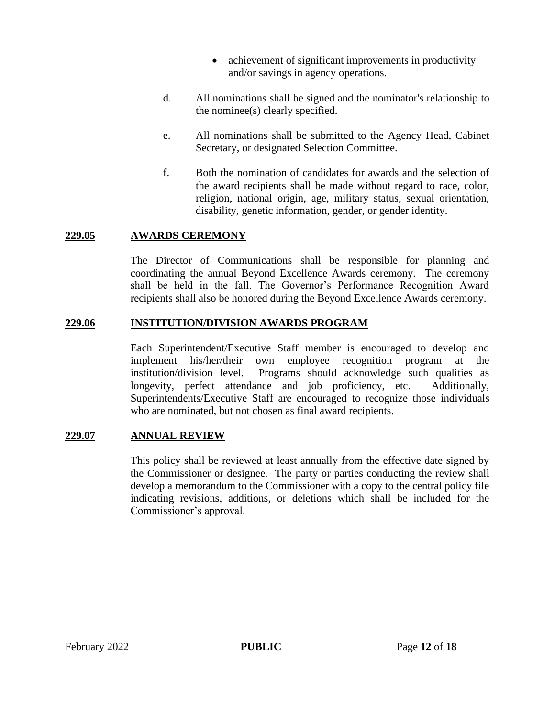- achievement of significant improvements in productivity and/or savings in agency operations.
- d. All nominations shall be signed and the nominator's relationship to the nominee(s) clearly specified.
- e. All nominations shall be submitted to the Agency Head, Cabinet Secretary, or designated Selection Committee.
- f. Both the nomination of candidates for awards and the selection of the award recipients shall be made without regard to race, color, religion, national origin, age, military status, sexual orientation, disability, genetic information, gender, or gender identity.

#### **229.05 AWARDS CEREMONY**

The Director of Communications shall be responsible for planning and coordinating the annual Beyond Excellence Awards ceremony. The ceremony shall be held in the fall. The Governor's Performance Recognition Award recipients shall also be honored during the Beyond Excellence Awards ceremony.

#### **229.06 INSTITUTION/DIVISION AWARDS PROGRAM**

Each Superintendent/Executive Staff member is encouraged to develop and implement his/her/their own employee recognition program at the institution/division level. Programs should acknowledge such qualities as longevity, perfect attendance and job proficiency, etc. Additionally, Superintendents/Executive Staff are encouraged to recognize those individuals who are nominated, but not chosen as final award recipients.

#### **229.07 ANNUAL REVIEW**

This policy shall be reviewed at least annually from the effective date signed by the Commissioner or designee. The party or parties conducting the review shall develop a memorandum to the Commissioner with a copy to the central policy file indicating revisions, additions, or deletions which shall be included for the Commissioner's approval.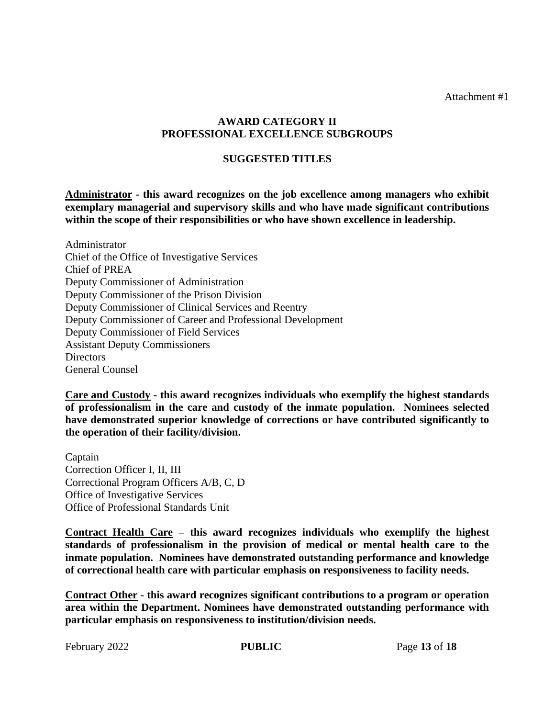Attachment #1

### **AWARD CATEGORY II PROFESSIONAL EXCELLENCE SUBGROUPS**

#### **SUGGESTED TITLES**

**Administrator - this award recognizes on the job excellence among managers who exhibit exemplary managerial and supervisory skills and who have made significant contributions within the scope of their responsibilities or who have shown excellence in leadership.**

Administrator Chief of the Office of Investigative Services Chief of PREA Deputy Commissioner of Administration Deputy Commissioner of the Prison Division Deputy Commissioner of Clinical Services and Reentry Deputy Commissioner of Career and Professional Development Deputy Commissioner of Field Services Assistant Deputy Commissioners Directors General Counsel

**Care and Custody - this award recognizes individuals who exemplify the highest standards of professionalism in the care and custody of the inmate population. Nominees selected have demonstrated superior knowledge of corrections or have contributed significantly to the operation of their facility/division.**

Captain Correction Officer I, II, III Correctional Program Officers A/B, C, D Office of Investigative Services Office of Professional Standards Unit

**Contract Health Care – this award recognizes individuals who exemplify the highest standards of professionalism in the provision of medical or mental health care to the inmate population. Nominees have demonstrated outstanding performance and knowledge of correctional health care with particular emphasis on responsiveness to facility needs.**

**Contract Other - this award recognizes significant contributions to a program or operation area within the Department. Nominees have demonstrated outstanding performance with particular emphasis on responsiveness to institution/division needs.**

February 2022 **PUBLIC** Page 13 of 18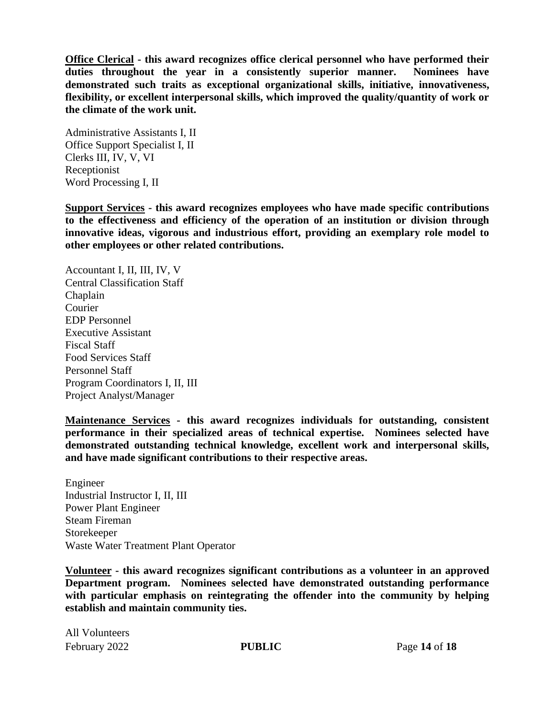**Office Clerical - this award recognizes office clerical personnel who have performed their duties throughout the year in a consistently superior manner. Nominees have demonstrated such traits as exceptional organizational skills, initiative, innovativeness, flexibility, or excellent interpersonal skills, which improved the quality/quantity of work or the climate of the work unit.**

Administrative Assistants I, II Office Support Specialist I, II Clerks III, IV, V, VI Receptionist Word Processing I, II

**Support Services - this award recognizes employees who have made specific contributions to the effectiveness and efficiency of the operation of an institution or division through innovative ideas, vigorous and industrious effort, providing an exemplary role model to other employees or other related contributions.**

Accountant I, II, III, IV, V Central Classification Staff Chaplain Courier EDP Personnel Executive Assistant Fiscal Staff Food Services Staff Personnel Staff Program Coordinators I, II, III Project Analyst/Manager

**Maintenance Services - this award recognizes individuals for outstanding, consistent performance in their specialized areas of technical expertise. Nominees selected have demonstrated outstanding technical knowledge, excellent work and interpersonal skills, and have made significant contributions to their respective areas.**

Engineer Industrial Instructor I, II, III Power Plant Engineer Steam Fireman Storekeeper Waste Water Treatment Plant Operator

**Volunteer - this award recognizes significant contributions as a volunteer in an approved Department program. Nominees selected have demonstrated outstanding performance with particular emphasis on reintegrating the offender into the community by helping establish and maintain community ties.**

February 2022 **PUBLIC** Page 14 of 18 All Volunteers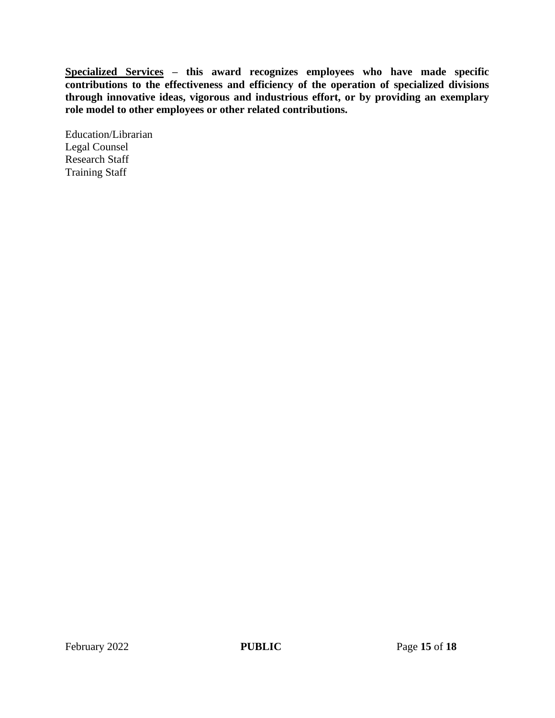**Specialized Services – this award recognizes employees who have made specific contributions to the effectiveness and efficiency of the operation of specialized divisions through innovative ideas, vigorous and industrious effort, or by providing an exemplary role model to other employees or other related contributions.**

Education/Librarian Legal Counsel Research Staff Training Staff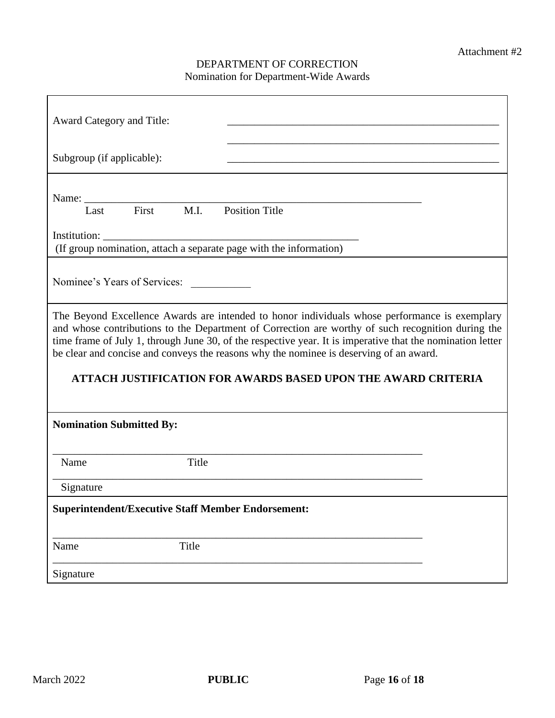## DEPARTMENT OF CORRECTION Nomination for Department-Wide Awards

| Award Category and Title:                                                                                                                                                                                                                                                                                                                                                                                  |
|------------------------------------------------------------------------------------------------------------------------------------------------------------------------------------------------------------------------------------------------------------------------------------------------------------------------------------------------------------------------------------------------------------|
| Subgroup (if applicable):                                                                                                                                                                                                                                                                                                                                                                                  |
| Last First M.I.<br><b>Position Title</b>                                                                                                                                                                                                                                                                                                                                                                   |
| Institution:<br>(If group nomination, attach a separate page with the information)                                                                                                                                                                                                                                                                                                                         |
| Nominee's Years of Services:                                                                                                                                                                                                                                                                                                                                                                               |
| The Beyond Excellence Awards are intended to honor individuals whose performance is exemplary<br>and whose contributions to the Department of Correction are worthy of such recognition during the<br>time frame of July 1, through June 30, of the respective year. It is imperative that the nomination letter<br>be clear and concise and conveys the reasons why the nominee is deserving of an award. |
| <b>ATTACH JUSTIFICATION FOR AWARDS BASED UPON THE AWARD CRITERIA</b>                                                                                                                                                                                                                                                                                                                                       |
| <b>Nomination Submitted By:</b>                                                                                                                                                                                                                                                                                                                                                                            |
| Title<br>Name                                                                                                                                                                                                                                                                                                                                                                                              |
| Signature                                                                                                                                                                                                                                                                                                                                                                                                  |
| <b>Superintendent/Executive Staff Member Endorsement:</b>                                                                                                                                                                                                                                                                                                                                                  |
| Title<br>Name                                                                                                                                                                                                                                                                                                                                                                                              |
| Signature                                                                                                                                                                                                                                                                                                                                                                                                  |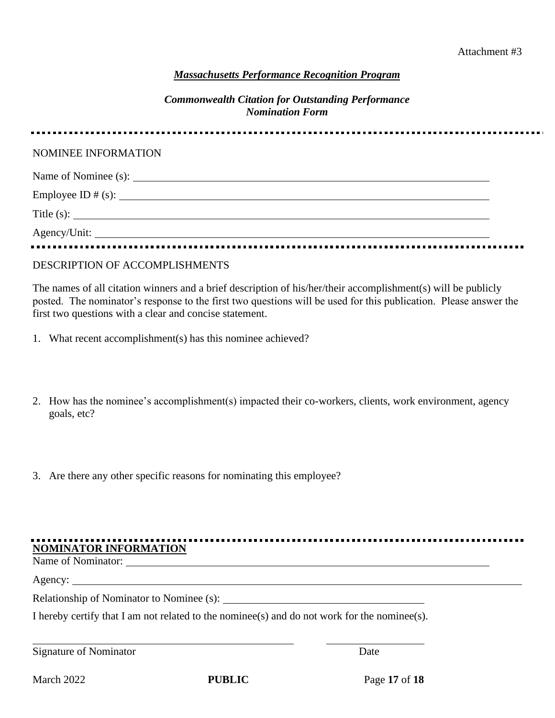#### *Massachusetts Performance Recognition Program*

#### *Commonwealth Citation for Outstanding Performance Nomination Form*

| NOMINEE INFORMATION               |  |
|-----------------------------------|--|
|                                   |  |
|                                   |  |
|                                   |  |
| Title (s): $\qquad \qquad \qquad$ |  |
|                                   |  |
|                                   |  |

#### DESCRIPTION OF ACCOMPLISHMENTS

The names of all citation winners and a brief description of his/her/their accomplishment(s) will be publicly posted. The nominator's response to the first two questions will be used for this publication. Please answer the first two questions with a clear and concise statement.

- 1. What recent accomplishment(s) has this nominee achieved?
- 2. How has the nominee's accomplishment(s) impacted their co-workers, clients, work environment, agency goals, etc?
- 3. Are there any other specific reasons for nominating this employee?

| <b>NOMINATOR INFORMATION</b> |  |  |
|------------------------------|--|--|

Name of Nominator:

Agency:

Relationship of Nominator to Nominee (s):

I hereby certify that I am not related to the nominee(s) and do not work for the nominee(s).

| Signature of Nominator | Date |
|------------------------|------|
|------------------------|------|

**PUBLIC** Page 17 of 18